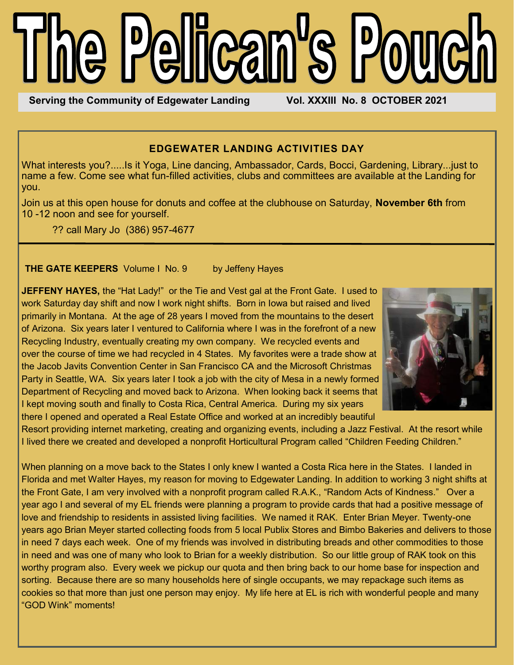# he Pelican's Pou

**Serving the Community of Edgewater Landing Vol. XXXIII No. 8 OCTOBER 2021** 

# **EDGEWATER LANDING ACTIVITIES DAY**

What interests you?.....Is it Yoga, Line dancing, Ambassador, Cards, Bocci, Gardening, Library...just to name a few. Come see what fun-filled activities, clubs and committees are available at the Landing for you.

Join us at this open house for donuts and coffee at the clubhouse on Saturday, **November 6th** from 10 -12 noon and see for yourself.

?? call Mary Jo (386) 957-4677

#### **THE GATE KEEPERS** Volume I No. 9 by Jeffeny Hayes

**JEFFENY HAYES,** the "Hat Lady!" or the Tie and Vest gal at the Front Gate. I used to work Saturday day shift and now I work night shifts. Born in Iowa but raised and lived primarily in Montana. At the age of 28 years I moved from the mountains to the desert of Arizona. Six years later I ventured to California where I was in the forefront of a new Recycling Industry, eventually creating my own company. We recycled events and over the course of time we had recycled in 4 States. My favorites were a trade show at the Jacob Javits Convention Center in San Francisco CA and the Microsoft Christmas Party in Seattle, WA. Six years later I took a job with the city of Mesa in a newly formed Department of Recycling and moved back to Arizona. When looking back it seems that I kept moving south and finally to Costa Rica, Central America. During my six years there I opened and operated a Real Estate Office and worked at an incredibly beautiful



Resort providing internet marketing, creating and organizing events, including a Jazz Festival. At the resort while I lived there we created and developed a nonprofit Horticultural Program called "Children Feeding Children."

When planning on a move back to the States I only knew I wanted a Costa Rica here in the States. I landed in Florida and met Walter Hayes, my reason for moving to Edgewater Landing. In addition to working 3 night shifts at the Front Gate, I am very involved with a nonprofit program called R.A.K., "Random Acts of Kindness." Over a year ago I and several of my EL friends were planning a program to provide cards that had a positive message of love and friendship to residents in assisted living facilities. We named it RAK. Enter Brian Meyer. Twenty-one years ago Brian Meyer started collecting foods from 5 local Publix Stores and Bimbo Bakeries and delivers to those in need 7 days each week. One of my friends was involved in distributing breads and other commodities to those in need and was one of many who look to Brian for a weekly distribution. So our little group of RAK took on this worthy program also. Every week we pickup our quota and then bring back to our home base for inspection and sorting. Because there are so many households here of single occupants, we may repackage such items as cookies so that more than just one person may enjoy. My life here at EL is rich with wonderful people and many "GOD Wink" moments!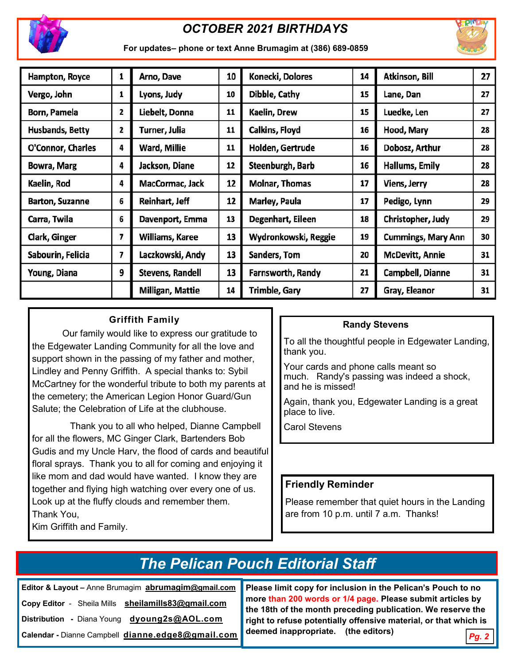

# *OCTOBER 2021 BIRTHDAYS*



**For updates– phone or text Anne Brumagim at (386) 689-0859** 

| Hampton, Royce         | 1 | Arno, Dave              | 10 | Konecki, Dolores      | 14 | Atkinson, Bill            | 27 |
|------------------------|---|-------------------------|----|-----------------------|----|---------------------------|----|
| Vergo, John            | 1 | Lyons, Judy             | 10 | Dibble, Cathy         | 15 | Lane, Dan                 | 27 |
| Born, Pamela           | 2 | Liebelt, Donna          | 11 | Kaelin, Drew          | 15 | Luedke, Len               | 27 |
| <b>Husbands, Betty</b> | 2 | Turner, Julia           | 11 | Calkins, Floyd        | 16 | Hood, Mary                | 28 |
| O'Connor, Charles      | 4 | Ward, Millie            | 11 | Holden, Gertrude      | 16 | Dobosz, Arthur            | 28 |
| <b>Bowra, Marg</b>     | 4 | Jackson, Diane          | 12 | Steenburgh, Barb      | 16 | Hallums, Emily            | 28 |
| Kaelin, Rod            | 4 | MacCormac, Jack         | 12 | <b>Molnar, Thomas</b> | 17 | Viens, Jerry              | 28 |
| <b>Barton, Suzanne</b> | 6 | Reinhart, Jeff          | 12 | Marley, Paula         | 17 | Pedigo, Lynn              | 29 |
| Carra, Twila           | 6 | Davenport, Emma         | 13 | Degenhart, Eileen     | 18 | Christopher, Judy         | 29 |
| Clark, Ginger          | 7 | Williams, Karee         | 13 | Wydronkowski, Reggie  | 19 | <b>Cummings, Mary Ann</b> | 30 |
| Sabourin, Felicia      | 7 | Laczkowski, Andy        | 13 | Sanders, Tom          | 20 | <b>McDevitt, Annie</b>    | 31 |
| Young, Diana           | 9 | <b>Stevens, Randell</b> | 13 | Farnsworth, Randy     | 21 | Campbell, Dianne          | 31 |
|                        |   | Milligan, Mattie        | 14 | Trimble, Gary         | 27 | Gray, Eleanor             | 31 |

# **Griffith Family**

Our family would like to express our gratitude to the Edgewater Landing Community for all the love and support shown in the passing of my father and mother, Lindley and Penny Griffith. A special thanks to: Sybil McCartney for the wonderful tribute to both my parents at the cemetery; the American Legion Honor Guard/Gun Salute; the Celebration of Life at the clubhouse.

Thank you to all who helped, Dianne Campbell for all the flowers, MC Ginger Clark, Bartenders Bob Gudis and my Uncle Harv, the flood of cards and beautiful floral sprays. Thank you to all for coming and enjoying it like mom and dad would have wanted. I know they are together and flying high watching over every one of us. Look up at the fluffy clouds and remember them. Thank You,

# Kim Griffith and Family.

#### **Randy Stevens**

To all the thoughtful people in Edgewater Landing, thank you.

Your cards and phone calls meant so much. Randy's passing was indeed a shock, and he is missed!

Again, thank you, Edgewater Landing is a great place to live.

Carol Stevens

#### **Friendly Reminder**

Please remember that quiet hours in the Landing are from 10 p.m. until 7 a.m. Thanks!

# *The Pelican Pouch Editorial Staff*

**Editor & Layout –** Anne Brumagim **abrumagim@gmail.com Copy Editor** - Sheila Mills **sheilamills83@gmail.com Distribution -** Diana Young **[dyoung2s@AOL.com](mailto:dyoung1s96@gmail.com) Calendar -** Dianne Campbell **dianne.edge8@gmail.com** **Please limit copy for inclusion in the Pelican's Pouch to no more than 200 words or 1/4 page. Please submit articles by the 18th of the month preceding publication. We reserve the right to refuse potentially offensive material, or that which is deemed inappropriate. (the editors)**

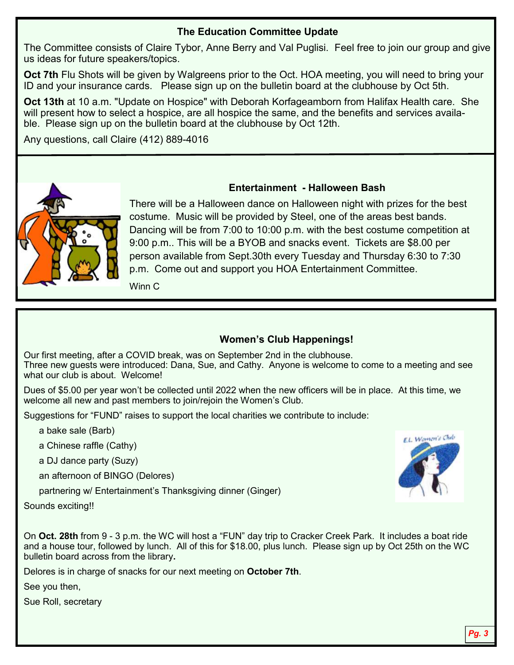# **The Education Committee Update**

The Committee consists of Claire Tybor, Anne Berry and Val Puglisi. Feel free to join our group and give us ideas for future speakers/topics.

**Oct 7th Flu Shots will be given by Walgreens prior to the Oct. HOA meeting, you will need to bring your** ID and your insurance cards. Please sign up on the bulletin board at the clubhouse by Oct 5th.

**Oct 13th** at 10 a.m. "Update on Hospice" with Deborah Korfageamborn from Halifax Health care. She will present how to select a hospice, are all hospice the same, and the benefits and services available. Please sign up on the bulletin board at the clubhouse by Oct 12th.

Any questions, call Claire (412) 889-4016



### **Entertainment - Halloween Bash**

There will be a Halloween dance on Halloween night with prizes for the best costume. Music will be provided by Steel, one of the areas best bands. Dancing will be from 7:00 to 10:00 p.m. with the best costume competition at 9:00 p.m.. This will be a BYOB and snacks event. Tickets are \$8.00 per person available from Sept.30th every Tuesday and Thursday 6:30 to 7:30 p.m. Come out and support you HOA Entertainment Committee.

Winn C

# **Women's Club Happenings!**

Our first meeting, after a COVID break, was on September 2nd in the clubhouse. Three new guests were introduced: Dana, Sue, and Cathy. Anyone is welcome to come to a meeting and see what our club is about. Welcome!

Dues of \$5.00 per year won't be collected until 2022 when the new officers will be in place. At this time, we welcome all new and past members to join/rejoin the Women's Club.

Suggestions for "FUND" raises to support the local charities we contribute to include:

a bake sale (Barb)

a Chinese raffle (Cathy)

a DJ dance party (Suzy)

an afternoon of BINGO (Delores)

partnering w/ Entertainment's Thanksgiving dinner (Ginger)

Sounds exciting!!

On **Oct. 28th** from 9 - 3 p.m. the WC will host a "FUN" day trip to Cracker Creek Park. It includes a boat ride and a house tour, followed by lunch. All of this for \$18.00, plus lunch. Please sign up by Oct 25th on the WC bulletin board across from the library**.**

Delores is in charge of snacks for our next meeting on **October 7th**.

See you then,

Sue Roll, secretary

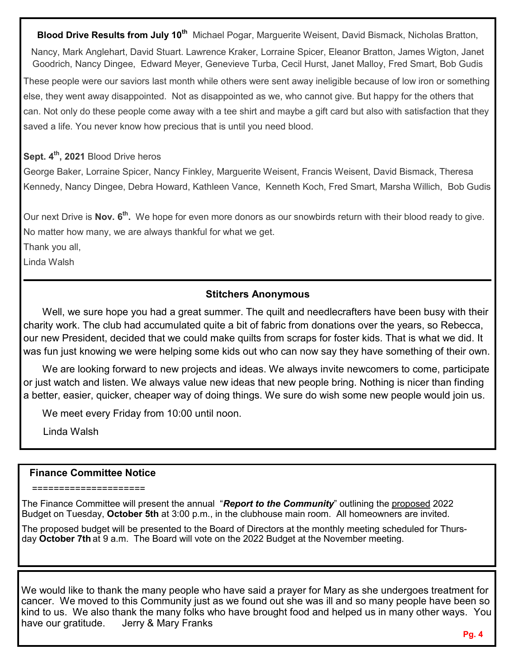**Blood Drive Results from July 10th** Michael Pogar, Marguerite Weisent, David Bismack, Nicholas Bratton,

Nancy, Mark Anglehart, David Stuart. Lawrence Kraker, Lorraine Spicer, Eleanor Bratton, James Wigton, Janet Goodrich, Nancy Dingee, Edward Meyer, Genevieve Turba, Cecil Hurst, Janet Malloy, Fred Smart, Bob Gudis

These people were our saviors last month while others were sent away ineligible because of low iron or something else, they went away disappointed. Not as disappointed as we, who cannot give. But happy for the others that can. Not only do these people come away with a tee shirt and maybe a gift card but also with satisfaction that they saved a life. You never know how precious that is until you need blood.

## **Sept. 4th, 2021** Blood Drive heros

George Baker, Lorraine Spicer, Nancy Finkley, Marguerite Weisent, Francis Weisent, David Bismack, Theresa Kennedy, Nancy Dingee, Debra Howard, Kathleen Vance, Kenneth Koch, Fred Smart, Marsha Willich, Bob Gudis

Our next Drive is Nov. 6<sup>th</sup>. We hope for even more donors as our snowbirds return with their blood ready to give. No matter how many, we are always thankful for what we get.

Thank you all,

Linda Walsh

### **Stitchers Anonymous**

Well, we sure hope you had a great summer. The quilt and needlecrafters have been busy with their charity work. The club had accumulated quite a bit of fabric from donations over the years, so Rebecca, our new President, decided that we could make quilts from scraps for foster kids. That is what we did. It was fun just knowing we were helping some kids out who can now say they have something of their own.

We are looking forward to new projects and ideas. We always invite newcomers to come, participate or just watch and listen. We always value new ideas that new people bring. Nothing is nicer than finding a better, easier, quicker, cheaper way of doing things. We sure do wish some new people would join us.

We meet every Friday from 10:00 until noon.

Linda Walsh

#### **Finance Committee Notice**

=====================

The Finance Committee will present the annual "*Report to the Community*" outlining the proposed 2022 Budget on Tuesday, **October 5th** at 3:00 p.m., in the clubhouse main room. All homeowners are invited.

The proposed budget will be presented to the Board of Directors at the monthly meeting scheduled for Thursday **October 7th** at 9 a.m. The Board will vote on the 2022 Budget at the November meeting.

We would like to thank the many people who have said a prayer for Mary as she undergoes treatment for cancer. We moved to this Community just as we found out she was ill and so many people have been so kind to us. We also thank the many folks who have brought food and helped us in many other ways. You have our gratitude. Jerry & Mary Franks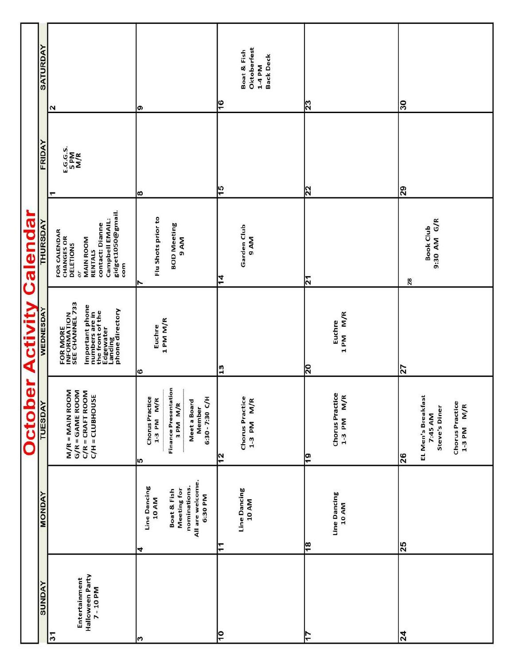|                 | <b>SATURDAY</b>            | Σ                                                                                                                                              | စ                                                                                                                                      | Oktoberfest<br>Boat & Fish<br><b>Back Deck</b><br>$1-4 P M$<br>¦© | $\overline{23}$                                         | 30                                                                                               |
|-----------------|----------------------------|------------------------------------------------------------------------------------------------------------------------------------------------|----------------------------------------------------------------------------------------------------------------------------------------|-------------------------------------------------------------------|---------------------------------------------------------|--------------------------------------------------------------------------------------------------|
|                 |                            |                                                                                                                                                |                                                                                                                                        |                                                                   |                                                         |                                                                                                  |
|                 | FRIDAY                     | E.G.G.S.<br>5 PM<br>M/R                                                                                                                        |                                                                                                                                        | $\frac{5}{3}$                                                     |                                                         | 29                                                                                               |
|                 |                            |                                                                                                                                                | ∣∞                                                                                                                                     |                                                                   | $\overline{2}$                                          |                                                                                                  |
| Calendar        | THURSDAY                   | gidget1050@gmail.<br>Campbell EMAIL:<br>contact: Dianne<br>FOR CALENDAR<br>CHANGES OR<br>DELETIONS<br><b>MAIN ROOM</b><br>RENTALS<br>com<br>or | Flu Shots prior to<br><b>BOD Meeting</b><br>9 AM                                                                                       | Garden Club<br>9 AM<br>14                                         | ন                                                       | 9:30 AM G/R<br><b>Book Club</b><br>28                                                            |
| <b>Activity</b> | WEDNESDAY                  | FOR MORE<br>INFORMATION<br>SEE CHANNEL 733<br>Important phone<br>numbers are in<br>the front of the<br>Edgewater<br>Landing<br>phone directory | 1 PM M/R<br>Euchre<br>G                                                                                                                | $\frac{3}{13}$                                                    | M/R<br>Euchre<br>1 PM<br>$\overline{\mathbb{R}}$        | 27                                                                                               |
| <b>October</b>  | <b>TUESDAY</b>             | M/R = MAIN ROOM<br>G/R = GAME ROOM<br>$C/R = CRAFT ROOM$<br>$C/H = CLUBHOUSE$                                                                  | <b>Finance Presentation</b><br><b>Chorus Practice</b><br>$1-3$ PM M/R<br>$6:30 - 7:30C/H$<br>Meet a Board<br>3 PM M/R<br>Member<br>lLO | <b>Chorus Practice</b><br>$1-3$ PM M/R<br>$\frac{2}{3}$           | <b>Chorus Practice</b><br>$1-3$ PM M/R<br>$\frac{1}{9}$ | EL Men's Breakfast<br><b>Chorus Practice</b><br>$1-3$ PM $M/R$<br>Steve's Diner<br>7:45 AM<br>26 |
|                 | <b>MONDAY</b>              |                                                                                                                                                | All are welcome.<br>nominations.<br>Line Dancing<br>Meeting for<br>Boat & Fish<br>6:30 PM<br>10 AM<br>4                                | Line Dancing<br>10 AM<br>F                                        | Line Dancing<br>10 AM<br>$\frac{8}{3}$                  | 25                                                                                               |
|                 | <b><i><u>ANDAY</u></i></b> | Halloween Party<br>Entertainment<br>7-10 PM<br>$\overline{3}$                                                                                  |                                                                                                                                        | ļō                                                                |                                                         | 24                                                                                               |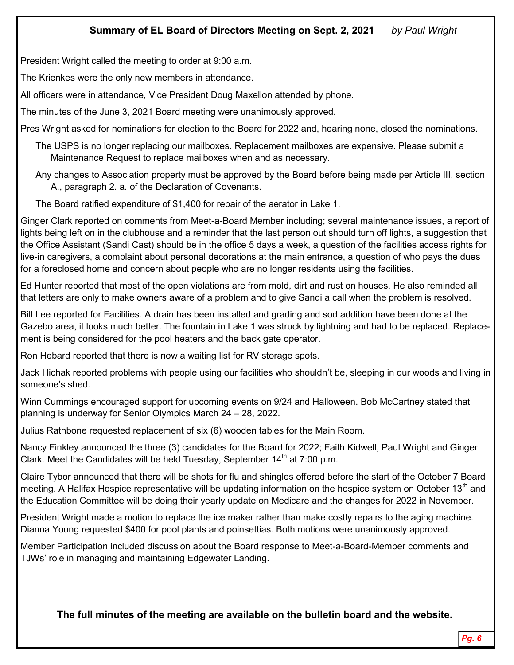# **Summary of EL Board of Directors Meeting on Sept. 2, 2021** *by Paul Wright*

President Wright called the meeting to order at 9:00 a.m.

The Krienkes were the only new members in attendance.

All officers were in attendance, Vice President Doug Maxellon attended by phone.

The minutes of the June 3, 2021 Board meeting were unanimously approved.

Pres Wright asked for nominations for election to the Board for 2022 and, hearing none, closed the nominations.

The USPS is no longer replacing our mailboxes. Replacement mailboxes are expensive. Please submit a Maintenance Request to replace mailboxes when and as necessary.

Any changes to Association property must be approved by the Board before being made per Article III, section A., paragraph 2. a. of the Declaration of Covenants.

The Board ratified expenditure of \$1,400 for repair of the aerator in Lake 1.

Ginger Clark reported on comments from Meet-a-Board Member including; several maintenance issues, a report of lights being left on in the clubhouse and a reminder that the last person out should turn off lights, a suggestion that the Office Assistant (Sandi Cast) should be in the office 5 days a week, a question of the facilities access rights for live-in caregivers, a complaint about personal decorations at the main entrance, a question of who pays the dues for a foreclosed home and concern about people who are no longer residents using the facilities.

Ed Hunter reported that most of the open violations are from mold, dirt and rust on houses. He also reminded all that letters are only to make owners aware of a problem and to give Sandi a call when the problem is resolved.

Bill Lee reported for Facilities. A drain has been installed and grading and sod addition have been done at the Gazebo area, it looks much better. The fountain in Lake 1 was struck by lightning and had to be replaced. Replacement is being considered for the pool heaters and the back gate operator.

Ron Hebard reported that there is now a waiting list for RV storage spots.

Jack Hichak reported problems with people using our facilities who shouldn't be, sleeping in our woods and living in someone's shed.

Winn Cummings encouraged support for upcoming events on 9/24 and Halloween. Bob McCartney stated that planning is underway for Senior Olympics March 24 – 28, 2022.

Julius Rathbone requested replacement of six (6) wooden tables for the Main Room.

Nancy Finkley announced the three (3) candidates for the Board for 2022; Faith Kidwell, Paul Wright and Ginger Clark. Meet the Candidates will be held Tuesday, September  $14<sup>th</sup>$  at 7:00 p.m.

Claire Tybor announced that there will be shots for flu and shingles offered before the start of the October 7 Board meeting. A Halifax Hospice representative will be updating information on the hospice system on October 13<sup>th</sup> and the Education Committee will be doing their yearly update on Medicare and the changes for 2022 in November.

President Wright made a motion to replace the ice maker rather than make costly repairs to the aging machine. Dianna Young requested \$400 for pool plants and poinsettias. Both motions were unanimously approved.

Member Participation included discussion about the Board response to Meet-a-Board-Member comments and TJWs' role in managing and maintaining Edgewater Landing.

**The full minutes of the meeting are available on the bulletin board and the website.**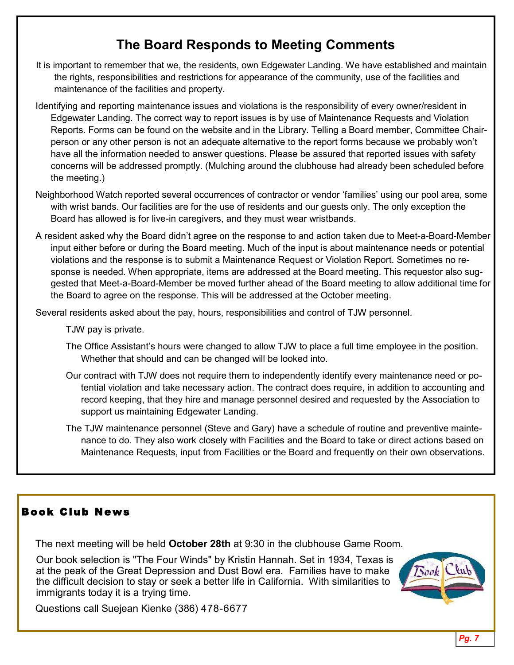# **The Board Responds to Meeting Comments**

- It is important to remember that we, the residents, own Edgewater Landing. We have established and maintain the rights, responsibilities and restrictions for appearance of the community, use of the facilities and maintenance of the facilities and property.
- Identifying and reporting maintenance issues and violations is the responsibility of every owner/resident in Edgewater Landing. The correct way to report issues is by use of Maintenance Requests and Violation Reports. Forms can be found on the website and in the Library. Telling a Board member, Committee Chairperson or any other person is not an adequate alternative to the report forms because we probably won't have all the information needed to answer questions. Please be assured that reported issues with safety concerns will be addressed promptly. (Mulching around the clubhouse had already been scheduled before the meeting.)
- Neighborhood Watch reported several occurrences of contractor or vendor 'families' using our pool area, some with wrist bands. Our facilities are for the use of residents and our guests only. The only exception the Board has allowed is for live-in caregivers, and they must wear wristbands.
- A resident asked why the Board didn't agree on the response to and action taken due to Meet-a-Board-Member input either before or during the Board meeting. Much of the input is about maintenance needs or potential violations and the response is to submit a Maintenance Request or Violation Report. Sometimes no response is needed. When appropriate, items are addressed at the Board meeting. This requestor also suggested that Meet-a-Board-Member be moved further ahead of the Board meeting to allow additional time for the Board to agree on the response. This will be addressed at the October meeting.

Several residents asked about the pay, hours, responsibilities and control of TJW personnel.

TJW pay is private.

- The Office Assistant's hours were changed to allow TJW to place a full time employee in the position. Whether that should and can be changed will be looked into.
- Our contract with TJW does not require them to independently identify every maintenance need or potential violation and take necessary action. The contract does require, in addition to accounting and record keeping, that they hire and manage personnel desired and requested by the Association to support us maintaining Edgewater Landing.
- The TJW maintenance personnel (Steve and Gary) have a schedule of routine and preventive maintenance to do. They also work closely with Facilities and the Board to take or direct actions based on Maintenance Requests, input from Facilities or the Board and frequently on their own observations.

# Book Club News

The next meeting will be held **October 28th** at 9:30 in the clubhouse Game Room.

Our book selection is "The Four Winds" by Kristin Hannah. Set in 1934, Texas is at the peak of the Great Depression and Dust Bowl era. Families have to make the difficult decision to stay or seek a better life in California. With similarities to immigrants today it is a trying time.



Questions call Suejean Kienke (386) 478-6677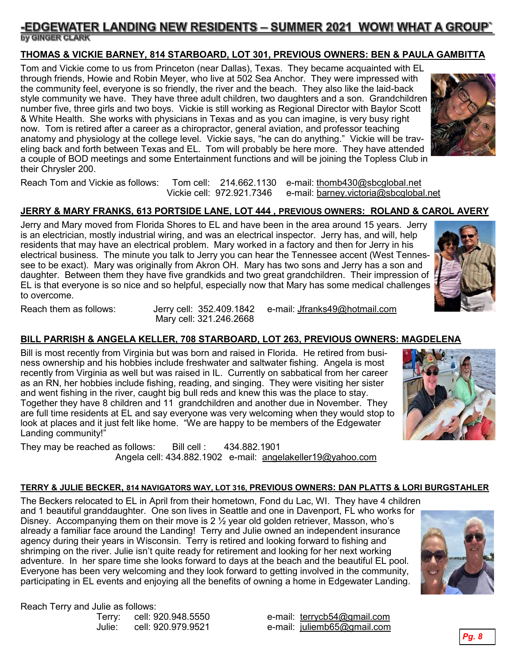## <u>-EDGEWATER LANDING NEW RESIDENTS – SUMMER 2021 WOW! WHAT A GROUP</u> by GINGER CLARK

#### **THOMAS & VICKIE BARNEY, 814 STARBOARD, LOT 301, PREVIOUS OWNERS: BEN & PAULA GAMBITTA**

Tom and Vickie come to us from Princeton (near Dallas), Texas. They became acquainted with EL through friends, Howie and Robin Meyer, who live at 502 Sea Anchor. They were impressed with the community feel, everyone is so friendly, the river and the beach. They also like the laid-back style community we have. They have three adult children, two daughters and a son. Grandchildren number five, three girls and two boys. Vickie is still working as Regional Director with Baylor Scott & White Health. She works with physicians in Texas and as you can imagine, is very busy right now. Tom is retired after a career as a chiropractor, general aviation, and professor teaching anatomy and physiology at the college level. Vickie says, "he can do anything." Vickie will be traveling back and forth between Texas and EL. Tom will probably be here more. They have attended a couple of BOD meetings and some Entertainment functions and will be joining the Topless Club in their Chrysler 200.



Reach Tom and Vickie as follows: Tom cell: 214.662.1130 e-mail: [thomb430@sbcglobal.net](mailto:thomb430@sbcglobal.net) Vickie cell: 972.921.7346 e-mail: [barney.victoria@sbcglobal.net](mailto:barney.victoria@sbcglobal.net)

#### **JERRY & MARY FRANKS, 613 PORTSIDE LANE, LOT 444 , PREVIOUS OWNERS: ROLAND & CAROL AVERY**

Jerry and Mary moved from Florida Shores to EL and have been in the area around 15 years. Jerry is an electrician, mostly industrial wiring, and was an electrical inspector. Jerry has, and will, help residents that may have an electrical problem. Mary worked in a factory and then for Jerry in his electrical business. The minute you talk to Jerry you can hear the Tennessee accent (West Tennessee to be exact). Mary was originally from Akron OH. Mary has two sons and Jerry has a son and daughter. Between them they have five grandkids and two great grandchildren. Their impression of EL is that everyone is so nice and so helpful, especially now that Mary has some medical challenges to overcome.



Mary cell: 321.246.2668

Reach them as follows: Jerry cell: 352.409.1842 e-mail: [Jfranks49@hotmail.com](mailto:Jfranks49@hotmail.com)

#### **BILL PARRISH & ANGELA KELLER, 708 STARBOARD, LOT 263, PREVIOUS OWNERS: MAGDELENA**

Bill is most recently from Virginia but was born and raised in Florida. He retired from business ownership and his hobbies include freshwater and saltwater fishing. Angela is most recently from Virginia as well but was raised in IL. Currently on sabbatical from her career as an RN, her hobbies include fishing, reading, and singing. They were visiting her sister and went fishing in the river, caught big bull reds and knew this was the place to stay. Together they have 8 children and 11 grandchildren and another due in November. They are full time residents at EL and say everyone was very welcoming when they would stop to look at places and it just felt like home. "We are happy to be members of the Edgewater Landing community!"

They may be reached as follows: Bill cell : 434.882.1901 Angela cell: 434.882.1902 e-mail: [angelakeller19@yahoo.com](mailto:angelakeller19@yahoo.com)

#### **TERRY & JULIE BECKER, 814 NAVIGATORS WAY, LOT 316, PREVIOUS OWNERS: DAN PLATTS & LORI BURGSTAHLER**

The Beckers relocated to EL in April from their hometown, Fond du Lac, WI. They have 4 children and 1 beautiful granddaughter. One son lives in Seattle and one in Davenport, FL who works for Disney. Accompanying them on their move is  $2\frac{1}{2}$  year old golden retriever, Masson, who's already a familiar face around the Landing! Terry and Julie owned an independent insurance agency during their years in Wisconsin. Terry is retired and looking forward to fishing and shrimping on the river. Julie isn't quite ready for retirement and looking for her next working adventure. In her spare time she looks forward to days at the beach and the beautiful EL pool. Everyone has been very welcoming and they look forward to getting involved in the community, participating in EL events and enjoying all the benefits of owning a home in Edgewater Landing.

Reach Terry and Julie as follows:

Terry: cell: 920.948.5550 e-mail: <u>[terrycb54@gmail.com](mailto:terrycb54@gmail.com)</u><br>Uulie: cell: 920.979.9521 e-mail: iuliemb65@gmail.com e-mail: [juliemb65@gmail.com](mailto:juliemb65@gmail.com)



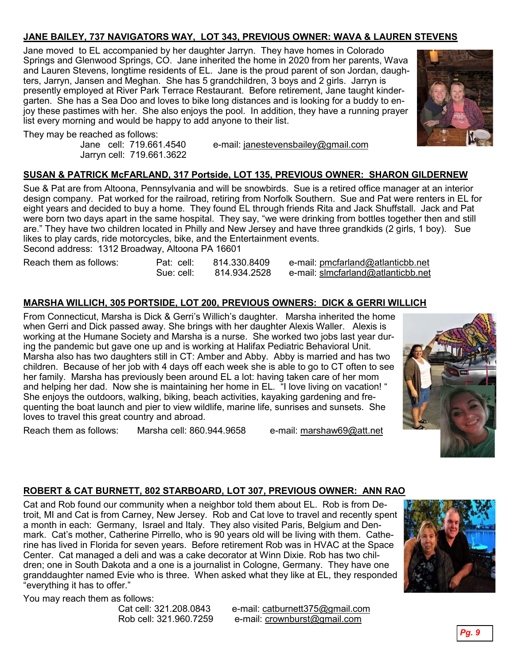# **JANE BAILEY, 737 NAVIGATORS WAY, LOT 343, PREVIOUS OWNER: WAVA & LAUREN STEVENS**

Jane moved to EL accompanied by her daughter Jarryn. They have homes in Colorado Springs and Glenwood Springs, CO. Jane inherited the home in 2020 from her parents, Wava and Lauren Stevens, longtime residents of EL. Jane is the proud parent of son Jordan, daughters, Jarryn, Jansen and Meghan. She has 5 grandchildren, 3 boys and 2 girls. Jarryn is presently employed at River Park Terrace Restaurant. Before retirement, Jane taught kindergarten. She has a Sea Doo and loves to bike long distances and is looking for a buddy to enjoy these pastimes with her. She also enjoys the pool. In addition, they have a running prayer list every morning and would be happy to add anyone to their list.



They may be reached as follows:<br>Jane cell: 719.661.4540

Jarryn cell: 719.661.3622

e-mail: [janestevensbailey@gmail.com](mailto:janestevensbailey@gmail.com)

#### **SUSAN & PATRICK McFARLAND, 317 Portside, LOT 135, PREVIOUS OWNER: SHARON GILDERNEW**

Sue & Pat are from Altoona, Pennsylvania and will be snowbirds. Sue is a retired office manager at an interior design company. Pat worked for the railroad, retiring from Norfolk Southern. Sue and Pat were renters in EL for eight years and decided to buy a home. They found EL through friends Rita and Jack Shuffstall. Jack and Pat were born two days apart in the same hospital. They say, "we were drinking from bottles together then and still are." They have two children located in Philly and New Jersey and have three grandkids (2 girls, 1 boy). Sue likes to play cards, ride motorcycles, bike, and the Entertainment events.

Second address: 1312 Broadway, Altoona PA 16601

| Reach them as follows: | Pat: cell: | 814.330.8409 | e-mail: pmcfarland@atlanticbb.net  |
|------------------------|------------|--------------|------------------------------------|
|                        | Sue: cell: | 814.934.2528 | e-mail: slmcfarland@atlanticbb.net |

#### **MARSHA WILLICH, 305 PORTSIDE, LOT 200, PREVIOUS OWNERS: DICK & GERRI WILLICH**

From Connecticut, Marsha is Dick & Gerri's Willich's daughter. Marsha inherited the home when Gerri and Dick passed away. She brings with her daughter Alexis Waller. Alexis is working at the Humane Society and Marsha is a nurse. She worked two jobs last year during the pandemic but gave one up and is working at Halifax Pediatric Behavioral Unit. Marsha also has two daughters still in CT: Amber and Abby. Abby is married and has two children. Because of her job with 4 days off each week she is able to go to CT often to see her family. Marsha has previously been around EL a lot: having taken care of her mom and helping her dad. Now she is maintaining her home in EL. "I love living on vacation! " She enjoys the outdoors, walking, biking, beach activities, kayaking gardening and frequenting the boat launch and pier to view wildlife, marine life, sunrises and sunsets. She loves to travel this great country and abroad.

Reach them as follows: Marsha cell: 860.944.9658 e-mail: [marshaw69@att.net](mailto:marshaw69@att.net)



#### **ROBERT & CAT BURNETT, 802 STARBOARD, LOT 307, PREVIOUS OWNER: ANN RAO**

Cat and Rob found our community when a neighbor told them about EL. Rob is from Detroit, MI and Cat is from Carney, New Jersey. Rob and Cat love to travel and recently spent a month in each: Germany, Israel and Italy. They also visited Paris, Belgium and Denmark. Cat's mother, Catherine Pirrello, who is 90 years old will be living with them. Catherine has lived in Florida for seven years. Before retirement Rob was in HVAC at the Space Center. Cat managed a deli and was a cake decorator at Winn Dixie. Rob has two children; one in South Dakota and a one is a journalist in Cologne, Germany. They have one granddaughter named Evie who is three. When asked what they like at EL, they responded "everything it has to offer."



You may reach them as follows:

Cat cell: 321.208.0843 e-mail: [catburnett375@gmail.com](mailto:catburnett375@gmail.com) Rob cell: 321.960.7259 e-mail: [crownburst@gmail.com](mailto:crownburst@gmail.com)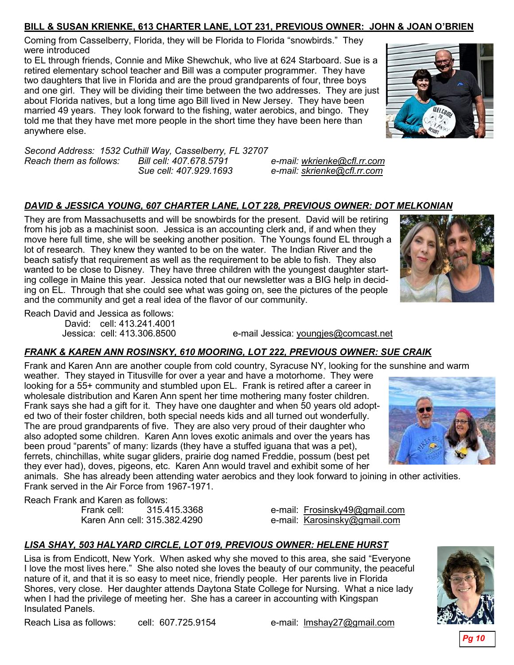#### **BILL & SUSAN KRIENKE, 613 CHARTER LANE, LOT 231, PREVIOUS OWNER: JOHN & JOAN O'BRIEN**

Coming from Casselberry, Florida, they will be Florida to Florida "snowbirds." They were introduced

to EL through friends, Connie and Mike Shewchuk, who live at 624 Starboard. Sue is a retired elementary school teacher and Bill was a computer programmer. They have two daughters that live in Florida and are the proud grandparents of four, three boys and one girl. They will be dividing their time between the two addresses. They are just about Florida natives, but a long time ago Bill lived in New Jersey. They have been married 49 years. They look forward to the fishing, water aerobics, and bingo.They told me that they have met more people in the short time they have been here than anywhere else.



*Second Address: 1532 Cuthill Way, Casselberry, FL 32707 Reach them as follows: Bill cell: 407.678.5791 e-mail: [wkrienke@cfl.rr.com](mailto:wkrienke@cfl.rr.com) Sue cell: 407.929.1693 e-mail: [skrienke@cfl.rr.com](mailto:skrienke@cfl.rr.com)*

# *DAVID & JESSICA YOUNG, 607 CHARTER LANE, LOT 228, PREVIOUS OWNER: DOT MELKONIAN*

They are from Massachusetts and will be snowbirds for the present. David will be retiring from his job as a machinist soon. Jessica is an accounting clerk and, if and when they move here full time, she will be seeking another position. The Youngs found EL through a lot of research. They knew they wanted to be on the water. The Indian River and the beach satisfy that requirement as well as the requirement to be able to fish. They also wanted to be close to Disney. They have three children with the youngest daughter starting college in Maine this year. Jessica noted that our newsletter was a BIG help in deciding on EL. Through that she could see what was going on, see the pictures of the people and the community and get a real idea of the flavor of our community.



Reach David and Jessica as follows:

David: cell: 413.241.4001

Jessica: cell: 413.306.8500 e-mail Jessica: [youngjes@comcast.net](mailto:youngjes@comcast.net)

# *FRANK & KAREN ANN ROSINSKY, 610 MOORING, LOT 222, PREVIOUS OWNER: SUE CRAIK*

Frank and Karen Ann are another couple from cold country, Syracuse NY, looking for the sunshine and warm weather. They stayed in Titusville for over a year and have a motorhome. They were

looking for a 55+ community and stumbled upon EL. Frank is retired after a career in wholesale distribution and Karen Ann spent her time mothering many foster children. Frank says she had a gift for it. They have one daughter and when 50 years old adopted two of their foster children, both special needs kids and all turned out wonderfully. The are proud grandparents of five. They are also very proud of their daughter who also adopted some children. Karen Ann loves exotic animals and over the years has been proud "parents" of many: lizards (they have a stuffed iguana that was a pet), ferrets, chinchillas, white sugar gliders, prairie dog named Freddie, possum (best pet they ever had), doves, pigeons, etc. Karen Ann would travel and exhibit some of her



animals. She has already been attending water aerobics and they look forward to joining in other activities. Frank served in the Air Force from 1967-1971.

Reach Frank and Karen as follows:

Frank cell: 315.415.3368 e-mail: [Frosinsky49@gmail.com](mailto:Frosinsky49@gmail.com) Karen Ann cell: 315.382.4290 e-mail: [Karosinsky@gmail.com](mailto:Karosinsky@gmail.com)

# *LISA SHAY, 503 HALYARD CIRCLE, LOT 019, PREVIOUS OWNER: HELENE HURST*

Lisa is from Endicott, New York. When asked why she moved to this area, she said "Everyone I love the most lives here." She also noted she loves the beauty of our community, the peaceful nature of it, and that it is so easy to meet nice, friendly people. Her parents live in Florida Shores, very close. Her daughter attends Daytona State College for Nursing. What a nice lady when I had the privilege of meeting her. She has a career in accounting with Kingspan Insulated Panels.



Reach Lisa as follows: cell: 607.725.9154 e-mail: [lmshay27@gmail.com](mailto:lmshay27@gmail.com)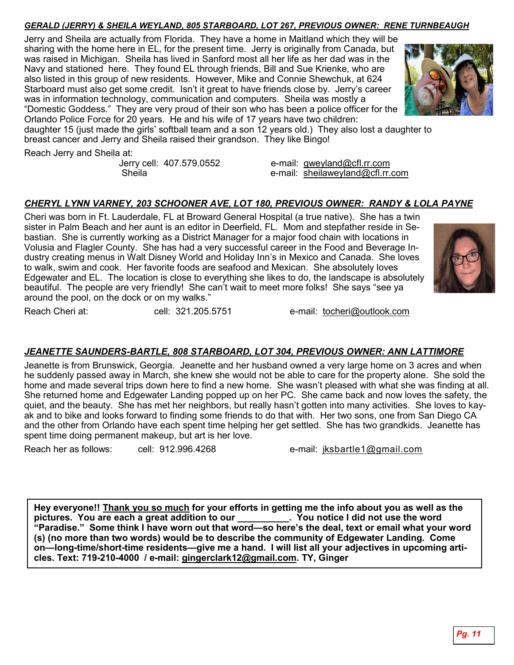#### *GERALD (JERRY) & SHEILA WEYLAND, 805 STARBOARD, LOT 267, PREVIOUS OWNER: RENE TURNBEAUGH*

Jerry and Sheila are actually from Florida. They have a home in Maitland which they will be sharing with the home here in EL, for the present time. Jerry is originally from Canada, but was raised in Michigan. Sheila has lived in Sanford most all her life as her dad was in the Navy and stationed here. They found EL through friends, Bill and Sue Krienke, who are also listed in this group of new residents. However, Mike and Connie Shewchuk, at 624 Starboard must also get some credit. Isn't it great to have friends close by. Jerry's career was in information technology, communication and computers. Sheila was mostly a "Domestic Goddess." They are very proud of their son who has been a police officer for the Orlando Police Force for 20 years. He and his wife of 17 years have two children:



daughter 15 (just made the girls' softball team and a son 12 years old.) They also lost a daughter to breast cancer and Jerry and Sheila raised their grandson. They like Bingo!

Reach Jerry and Sheila at:

Jerry cell: 407.579.0552 e-mail: [gweyland@cfl.rr.com](mailto:gweyland@cfl.rr.com) Sheila e-mail: [sheilaweyland@cfl.rr.com](mailto:sheilaweyland@cfl.rr.com)

#### *CHERYL LYNN VARNEY, 203 SCHOONER AVE, LOT 180, PREVIOUS OWNER: RANDY & LOLA PAYNE*

Cheri was born in Ft. Lauderdale, FL at Broward General Hospital (a true native). She has a twin sister in Palm Beach and her aunt is an editor in Deerfield, FL. Mom and stepfather reside in Sebastian. She is currently working as a District Manager for a major food chain with locations in Volusia and Flagler County. She has had a very successful career in the Food and Beverage Industry creating menus in Walt Disney World and Holiday Inn's in Mexico and Canada. She loves to walk, swim and cook. Her favorite foods are seafood and Mexican. She absolutely loves Edgewater and EL. The location is close to everything she likes to do, the landscape is absolutely beautiful. The people are very friendly! She can't wait to meet more folks! She says "see ya around the pool, on the dock or on my walks."



Reach Cheri at: cell: 321.205.5751 e-mail: [tocheri@outlook.com](mailto:tocheri@outlook.com)

# *JEANETTE SAUNDERS-BARTLE, 808 STARBOARD, LOT 304, PREVIOUS OWNER: ANN LATTIMORE*

Jeanette is from Brunswick, Georgia. Jeanette and her husband owned a very large home on 3 acres and when he suddenly passed away in March, she knew she would not be able to care for the property alone. She sold the home and made several trips down here to find a new home. She wasn't pleased with what she was finding at all. She returned home and Edgewater Landing popped up on her PC. She came back and now loves the safety, the quiet, and the beauty. She has met her neighbors, but really hasn't gotten into many activities. She loves to kayak and to bike and looks forward to finding some friends to do that with. Her two sons, one from San Diego CA and the other from Orlando have each spent time helping her get settled. She has two grandkids. Jeanette has spent time doing permanent makeup, but art is her love.

Reach her as follows: cell: 912.996.4268 e-mail: [jksbartle1@gmail.com](mailto:jksbartle1@gmail.com)

**Hey everyone!! Thank you so much for your efforts in getting me the info about you as well as the pictures. You are each a great addition to our \_\_\_\_\_\_\_\_\_\_. You notice I did not use the word "Paradise." Some think I have worn out that word—so here's the deal, text or email what your word (s) (no more than two words) would be to describe the community of Edgewater Landing. Come on—long-time/short-time residents—give me a hand. I will list all your adjectives in upcoming articles. Text: 719-210-4000 / e-mail: [gingerclark12@gmail.com.](mailto:gingerclark12@gmail.com) TY, Ginger**